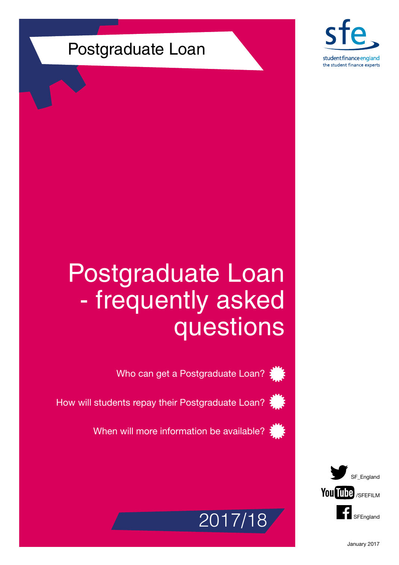

## Postgraduate Loan

# Postgraduate Loan - frequently asked questions

Who can get a Postgraduate Loan?



How will students repay their Postgraduate Loan?

When will more information be available?



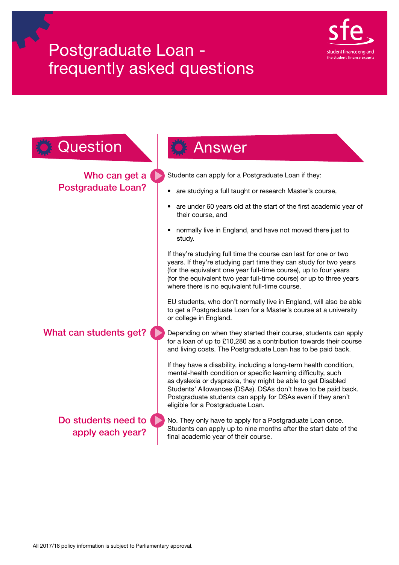

| Question                                   | Answer                                                                                                                                                                                                                                                                                                                                                                    |  |
|--------------------------------------------|---------------------------------------------------------------------------------------------------------------------------------------------------------------------------------------------------------------------------------------------------------------------------------------------------------------------------------------------------------------------------|--|
| Who can get a<br><b>Postgraduate Loan?</b> | Students can apply for a Postgraduate Loan if they:                                                                                                                                                                                                                                                                                                                       |  |
|                                            | are studying a full taught or research Master's course,                                                                                                                                                                                                                                                                                                                   |  |
|                                            | are under 60 years old at the start of the first academic year of<br>their course, and                                                                                                                                                                                                                                                                                    |  |
|                                            | normally live in England, and have not moved there just to<br>study.                                                                                                                                                                                                                                                                                                      |  |
|                                            | If they're studying full time the course can last for one or two<br>years. If they're studying part time they can study for two years<br>(for the equivalent one year full-time course), up to four years<br>(for the equivalent two year full-time course) or up to three years<br>where there is no equivalent full-time course.                                        |  |
|                                            | EU students, who don't normally live in England, will also be able<br>to get a Postgraduate Loan for a Master's course at a university<br>or college in England.                                                                                                                                                                                                          |  |
| What can students get?                     | Depending on when they started their course, students can apply<br>for a loan of up to £10,280 as a contribution towards their course<br>and living costs. The Postgraduate Loan has to be paid back.                                                                                                                                                                     |  |
|                                            | If they have a disability, including a long-term health condition,<br>mental-health condition or specific learning difficulty, such<br>as dyslexia or dyspraxia, they might be able to get Disabled<br>Students' Allowances (DSAs). DSAs don't have to be paid back.<br>Postgraduate students can apply for DSAs even if they aren't<br>eligible for a Postgraduate Loan. |  |
| Do students need to<br>apply each year?    | No. They only have to apply for a Postgraduate Loan once.<br>Students can apply up to nine months after the start date of the<br>final academic year of their course.                                                                                                                                                                                                     |  |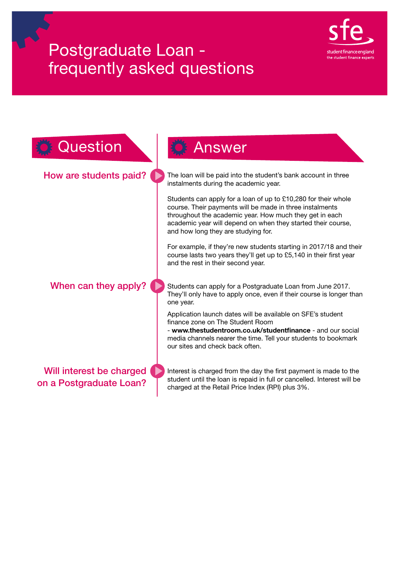

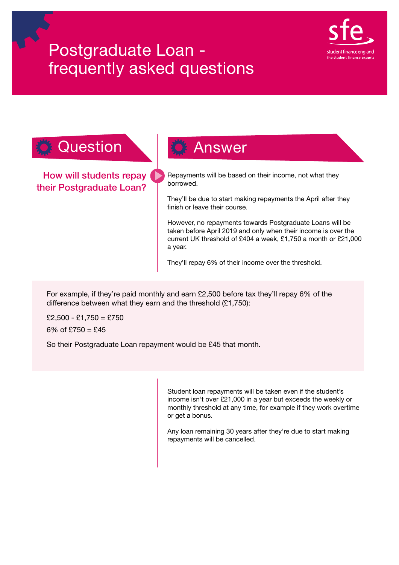

### Question **Answer**

How will students repay their Postgraduate Loan?

Repayments will be based on their income, not what they borrowed.

They'll be due to start making repayments the April after they finish or leave their course.

However, no repayments towards Postgraduate Loans will be taken before April 2019 and only when their income is over the current UK threshold of £404 a week, £1,750 a month or £21,000 a year.

They'll repay 6% of their income over the threshold.

For example, if they're paid monthly and earn £2,500 before tax they'll repay 6% of the difference between what they earn and the threshold (£1,750):

 $£2,500 - £1,750 = £750$ 6% of  $£750 = £45$ 

So their Postgraduate Loan repayment would be £45 that month.

Student loan repayments will be taken even if the student's income isn't over £21,000 in a year but exceeds the weekly or monthly threshold at any time, for example if they work overtime or get a bonus.

Any loan remaining 30 years after they're due to start making repayments will be cancelled.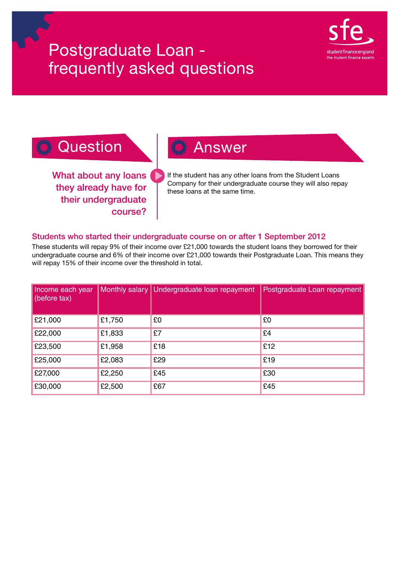

### **Question Answer**

What about any loans they already have for their undergraduate course?

If the student has any other loans from the Student Loans Company for their undergraduate course they will also repay these loans at the same time.

### Students who started their undergraduate course on or after 1 September 2012

These students will repay 9% of their income over £21,000 towards the student loans they borrowed for their undergraduate course and 6% of their income over £21,000 towards their Postgraduate Loan. This means they will repay 15% of their income over the threshold in total.

| Income each year<br>$\vert$ (before tax) |        | Monthly salary   Undergraduate loan repayment | Postgraduate Loan repayment |
|------------------------------------------|--------|-----------------------------------------------|-----------------------------|
| £21,000                                  | £1,750 | £0                                            | £0                          |
| £22,000                                  | £1,833 | £7                                            | £4                          |
| £23,500                                  | £1,958 | £18                                           | £12                         |
| £25,000                                  | £2,083 | £29                                           | £19                         |
| £27,000                                  | £2,250 | £45                                           | £30                         |
| £30,000                                  | £2,500 | £67                                           | £45                         |